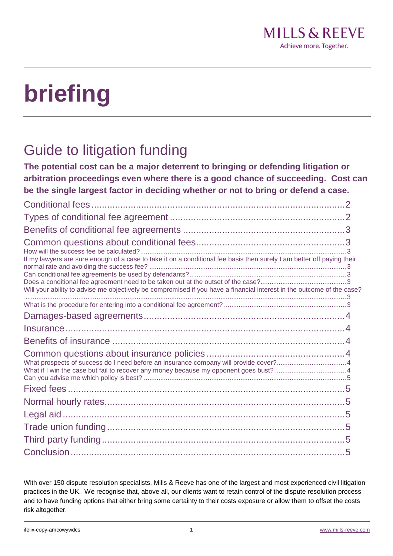# **briefing**

# Guide to litigation funding

**The potential cost can be a major deterrent to bringing or defending litigation or arbitration proceedings even where there is a good chance of succeeding. Cost can be the single largest factor in deciding whether or not to bring or defend a case.**

| If my lawyers are sure enough of a case to take it on a conditional fee basis then surely I am better off paying their<br>Will your ability to advise me objectively be compromised if you have a financial interest in the outcome of the case? |  |
|--------------------------------------------------------------------------------------------------------------------------------------------------------------------------------------------------------------------------------------------------|--|
|                                                                                                                                                                                                                                                  |  |
|                                                                                                                                                                                                                                                  |  |
|                                                                                                                                                                                                                                                  |  |
|                                                                                                                                                                                                                                                  |  |
|                                                                                                                                                                                                                                                  |  |
|                                                                                                                                                                                                                                                  |  |
|                                                                                                                                                                                                                                                  |  |
|                                                                                                                                                                                                                                                  |  |
|                                                                                                                                                                                                                                                  |  |
|                                                                                                                                                                                                                                                  |  |
|                                                                                                                                                                                                                                                  |  |

With over 150 dispute resolution specialists, Mills & Reeve has one of the largest and most experienced civil litigation practices in the UK. We recognise that, above all, our clients want to retain control of the dispute resolution process and to have funding options that either bring some certainty to their costs exposure or allow them to offset the costs risk altogether.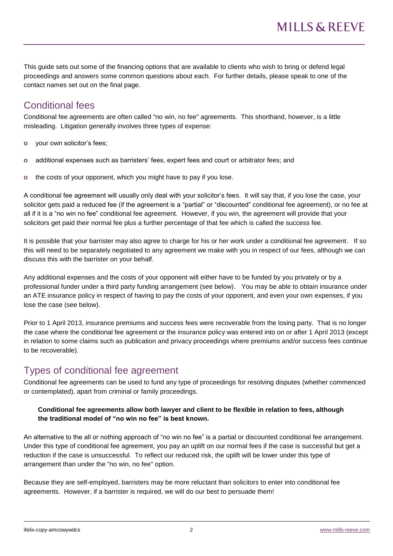This guide sets out some of the financing options that are available to clients who wish to bring or defend legal proceedings and answers some common questions about each. For further details, please speak to one of the contact names set out on the final page.

# Conditional fees

Conditional fee agreements are often called "no win, no fee" agreements. This shorthand, however, is a little misleading. Litigation generally involves three types of expense:

- **o** your own solicitor's fees;
- **o** additional expenses such as barristers' fees, expert fees and court or arbitrator fees; and
- **o** the costs of your opponent, which you might have to pay if you lose.

A conditional fee agreement will usually only deal with your solicitor's fees. It will say that, if you lose the case, your solicitor gets paid a reduced fee (if the agreement is a "partial" or "discounted" conditional fee agreement), or no fee at all if it is a "no win no fee" conditional fee agreement. However, if you win, the agreement will provide that your solicitors get paid their normal fee plus a further percentage of that fee which is called the success fee.

It is possible that your barrister may also agree to charge for his or her work under a conditional fee agreement. If so this will need to be separately negotiated to any agreement we make with you in respect of our fees, although we can discuss this with the barrister on your behalf.

Any additional expenses and the costs of your opponent will either have to be funded by you privately or by a professional funder under a third party funding arrangement (see below). You may be able to obtain insurance under an ATE insurance policy in respect of having to pay the costs of your opponent, and even your own expenses, if you lose the case (see below).

Prior to 1 April 2013, insurance premiums and success fees were recoverable from the losing party. That is no longer the case where the conditional fee agreement or the insurance policy was entered into on or after 1 April 2013 (except in relation to some claims such as publication and privacy proceedings where premiums and/or success fees continue to be recoverable).

# Types of conditional fee agreement

Conditional fee agreements can be used to fund any type of proceedings for resolving disputes (whether commenced or contemplated), apart from criminal or family proceedings.

#### **Conditional fee agreements allow both lawyer and client to be flexible in relation to fees, although the traditional model of "no win no fee" is best known.**

An alternative to the all or nothing approach of "no win no fee" is a partial or discounted conditional fee arrangement. Under this type of conditional fee agreement, you pay an uplift on our normal fees if the case is successful but get a reduction if the case is unsuccessful. To reflect our reduced risk, the uplift will be lower under this type of arrangement than under the "no win, no fee" option.

Because they are self-employed, barristers may be more reluctant than solicitors to enter into conditional fee agreements. However, if a barrister is required, we will do our best to persuade them!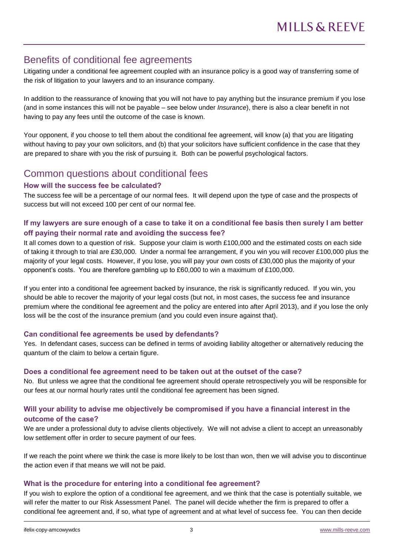## Benefits of conditional fee agreements

Litigating under a conditional fee agreement coupled with an insurance policy is a good way of transferring some of the risk of litigation to your lawyers and to an insurance company.

In addition to the reassurance of knowing that you will not have to pay anything but the insurance premium if you lose (and in some instances this will not be payable – see below under *Insurance*), there is also a clear benefit in not having to pay any fees until the outcome of the case is known.

Your opponent, if you choose to tell them about the conditional fee agreement, will know (a) that you are litigating without having to pay your own solicitors, and (b) that your solicitors have sufficient confidence in the case that they are prepared to share with you the risk of pursuing it. Both can be powerful psychological factors.

# Common questions about conditional fees

#### **How will the success fee be calculated?**

The success fee will be a percentage of our normal fees. It will depend upon the type of case and the prospects of success but will not exceed 100 per cent of our normal fee.

#### **If my lawyers are sure enough of a case to take it on a conditional fee basis then surely I am better off paying their normal rate and avoiding the success fee?**

It all comes down to a question of risk. Suppose your claim is worth £100,000 and the estimated costs on each side of taking it through to trial are £30,000. Under a normal fee arrangement, if you win you will recover £100,000 plus the majority of your legal costs. However, if you lose, you will pay your own costs of £30,000 plus the majority of your opponent's costs. You are therefore gambling up to £60,000 to win a maximum of £100,000.

If you enter into a conditional fee agreement backed by insurance, the risk is significantly reduced. If you win, you should be able to recover the majority of your legal costs (but not, in most cases, the success fee and insurance premium where the conditional fee agreement and the policy are entered into after April 2013), and if you lose the only loss will be the cost of the insurance premium (and you could even insure against that).

#### **Can conditional fee agreements be used by defendants?**

Yes. In defendant cases, success can be defined in terms of avoiding liability altogether or alternatively reducing the quantum of the claim to below a certain figure.

#### **Does a conditional fee agreement need to be taken out at the outset of the case?**

No. But unless we agree that the conditional fee agreement should operate retrospectively you will be responsible for our fees at our normal hourly rates until the conditional fee agreement has been signed.

#### **Will your ability to advise me objectively be compromised if you have a financial interest in the outcome of the case?**

We are under a professional duty to advise clients objectively. We will not advise a client to accept an unreasonably low settlement offer in order to secure payment of our fees.

If we reach the point where we think the case is more likely to be lost than won, then we will advise you to discontinue the action even if that means we will not be paid.

#### **What is the procedure for entering into a conditional fee agreement?**

If you wish to explore the option of a conditional fee agreement, and we think that the case is potentially suitable, we will refer the matter to our Risk Assessment Panel. The panel will decide whether the firm is prepared to offer a conditional fee agreement and, if so, what type of agreement and at what level of success fee. You can then decide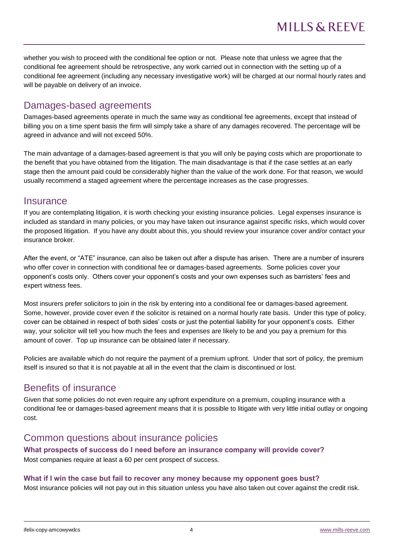whether you wish to proceed with the conditional fee option or not. Please note that unless we agree that the conditional fee agreement should be retrospective, any work carried out in connection with the setting up of a conditional fee agreement (including any necessary investigative work) will be charged at our normal hourly rates and will be payable on delivery of an invoice.

# Damages-based agreements

Damages-based agreements operate in much the same way as conditional fee agreements, except that instead of billing you on a time spent basis the firm will simply take a share of any damages recovered. The percentage will be agreed in advance and will not exceed 50%.

The main advantage of a damages-based agreement is that you will only be paying costs which are proportionate to the benefit that you have obtained from the litigation. The main disadvantage is that if the case settles at an early stage then the amount paid could be considerably higher than the value of the work done. For that reason, we would usually recommend a staged agreement where the percentage increases as the case progresses.

#### **Insurance**

If you are contemplating litigation, it is worth checking your existing insurance policies. Legal expenses insurance is included as standard in many policies, or you may have taken out insurance against specific risks, which would cover the proposed litigation. If you have any doubt about this, you should review your insurance cover and/or contact your insurance broker.

After the event, or "ATE" insurance, can also be taken out after a dispute has arisen. There are a number of insurers who offer cover in connection with conditional fee or damages-based agreements. Some policies cover your opponent's costs only. Others cover your opponent's costs and your own expenses such as barristers' fees and expert witness fees.

Most insurers prefer solicitors to join in the risk by entering into a conditional fee or damages-based agreement. Some, however, provide cover even if the solicitor is retained on a normal hourly rate basis. Under this type of policy, cover can be obtained in respect of both sides' costs or just the potential liability for your opponent's costs. Either way, your solicitor will tell you how much the fees and expenses are likely to be and you pay a premium for this amount of cover. Top up insurance can be obtained later if necessary.

Policies are available which do not require the payment of a premium upfront. Under that sort of policy, the premium itself is insured so that it is not payable at all in the event that the claim is discontinued or lost.

# Benefits of insurance

Given that some policies do not even require any upfront expenditure on a premium, coupling insurance with a conditional fee or damages-based agreement means that it is possible to litigate with very little initial outlay or ongoing cost.

# Common questions about insurance policies

#### **What prospects of success do I need before an insurance company will provide cover?** Most companies require at least a 60 per cent prospect of success.

#### **What if I win the case but fail to recover any money because my opponent goes bust?**

Most insurance policies will not pay out in this situation unless you have also taken out cover against the credit risk.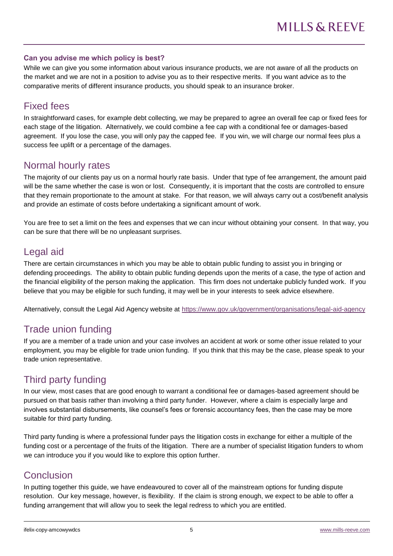#### **Can you advise me which policy is best?**

While we can give you some information about various insurance products, we are not aware of all the products on the market and we are not in a position to advise you as to their respective merits. If you want advice as to the comparative merits of different insurance products, you should speak to an insurance broker.

#### Fixed fees

In straightforward cases, for example debt collecting, we may be prepared to agree an overall fee cap or fixed fees for each stage of the litigation. Alternatively, we could combine a fee cap with a conditional fee or damages-based agreement. If you lose the case, you will only pay the capped fee. If you win, we will charge our normal fees plus a success fee uplift or a percentage of the damages.

#### Normal hourly rates

The majority of our clients pay us on a normal hourly rate basis. Under that type of fee arrangement, the amount paid will be the same whether the case is won or lost. Consequently, it is important that the costs are controlled to ensure that they remain proportionate to the amount at stake. For that reason, we will always carry out a cost/benefit analysis and provide an estimate of costs before undertaking a significant amount of work.

You are free to set a limit on the fees and expenses that we can incur without obtaining your consent. In that way, you can be sure that there will be no unpleasant surprises.

## Legal aid

There are certain circumstances in which you may be able to obtain public funding to assist you in bringing or defending proceedings. The ability to obtain public funding depends upon the merits of a case, the type of action and the financial eligibility of the person making the application. This firm does not undertake publicly funded work. If you believe that you may be eligible for such funding, it may well be in your interests to seek advice elsewhere.

Alternatively, consult the Legal Aid Agency website at<https://www.gov.uk/government/organisations/legal-aid-agency>

# Trade union funding

If you are a member of a trade union and your case involves an accident at work or some other issue related to your employment, you may be eligible for trade union funding. If you think that this may be the case, please speak to your trade union representative.

# Third party funding

In our view, most cases that are good enough to warrant a conditional fee or damages-based agreement should be pursued on that basis rather than involving a third party funder. However, where a claim is especially large and involves substantial disbursements, like counsel's fees or forensic accountancy fees, then the case may be more suitable for third party funding.

Third party funding is where a professional funder pays the litigation costs in exchange for either a multiple of the funding cost or a percentage of the fruits of the litigation. There are a number of specialist litigation funders to whom we can introduce you if you would like to explore this option further.

## Conclusion

In putting together this guide, we have endeavoured to cover all of the mainstream options for funding dispute resolution. Our key message, however, is flexibility. If the claim is strong enough, we expect to be able to offer a funding arrangement that will allow you to seek the legal redress to which you are entitled.